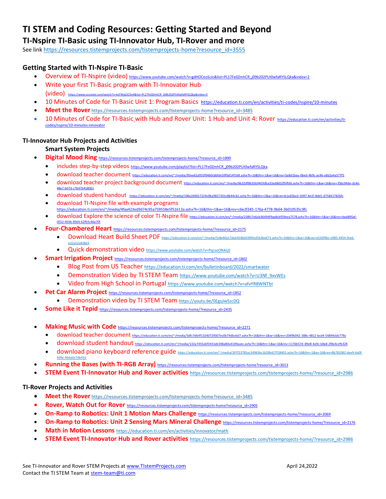# **TI STEM and Coding Resources: Getting Started and Beyond**

## **TI-Nspire TI-Basic using TI-Innovator Hub, TI-Rover and more**

See lin[k https://resources.tistemprojects.com/tistemprojects-home?resource\\_id=3555](https://resources.tistemprojects.com/tistemprojects-home?resource_id=3555)

### **Getting Started with TI-Nspire TI-Basic**

- Overview of TI-Nspire (video) https://www.youtube.com/watch?v=gdHOCeoScio&list=PL17Fe0ZmhCR\_j09b202PUI0wfaRYSLQka&index=2
- Write your first TI-Basic program with TI-Innovator Hub (video) https://www.youtube.com/watch?v=kaTWqt2CDx4&list=PL17Fe0ZmhCR\_i09b202PUI0wfaRYSLQka&index=3
- 10 Minutes of Code for TI-Basic Unit 1: [Program](https://nam11.safelinks.protection.outlook.com/?url=https%3A%2F%2Feducation.ti.com%2Fen%2Factivities%2Fti-codes%2Fpython%2Fnspire%2520%250d10&data=04%7C01%7Cconchita.england%40acboe.net%7Cff41f4b3a71349184ae208d9a9d5c6a1%7C95906bbc973947fc9c7faf193d7e5c12%7C0%7C0%7C637727557928885500%7CUnknown%7CTWFpbGZsb3d8eyJWIjoiMC4wLjAwMDAiLCJQIjoiV2luMzIiLCJBTiI6Ik1haWwiLCJXVCI6Mn0%3D%7C3000&sdata=Pb5yIJlMHifaSAHA1xcSr5tHk2JgIDzxGu7qWsBnsv4%3D&reserved=0) Basics <https://education.ti.com/en/activities/ti-codes/nspire/10-minutes>
- **Meet the Rover** [https://resources.tistemprojects.com/tistemprojects-home?resource\\_id=3485](https://resources.tistemprojects.com/tistemprojects-home?resource_id=3485)
- 10 Minutes of Code for TI-Basic with Hub and Rover Unit: 1 Hub and Unit 4: Rover [https://education.ti.com/en/activities/ti](https://education.ti.com/en/activities/ti-codes/nspire/10-minutes-innovator)[codes/nspire/10-minutes-innovator](https://education.ti.com/en/activities/ti-codes/nspire/10-minutes-innovator)

#### **TI-Innovator Hub Projects and Activities**

#### **Smart System Projects**

- **Digital Mood Ring** [https://resources.tistemprojects.com/tistemprojects-home/?resource\\_id=1890](https://resources.tistemprojects.com/tistemprojects-home/?resource_id=1890)
	- includes step-by-step videos [https://www.youtube.com/playlist?list=PL17Fe0ZmhCR\\_j09b202PUI0wfaRYSLQka](https://www.youtube.com/playlist?list=PL17Fe0ZmhCR_j09b202PUI0wfaRYSLQka)
	- download teacher document <https://education.ti.com/en/~/media/95ee62a955f94b0cbbfde59fbd14f168.ashx?h=16&thn=1&w=16&rev=5a8d1baa-0bed-4b9c-ac46-a6b2a4a577f5>
	- download teacher project background document https://education.ti.com/en/~/media/6b32df8635b9403dba33ad8d32fbffdb.ashx?h=16&thn=1&w=16&rev=35bc94de [48e7-b07d-c7b47b418061](https://education.ti.com/en/~/media/6b32df8635b9403dba33ad8d32fbffdb.ashx?h=16&thn=1&w=16&rev=35bc94de-dc4e-48e7-b07d-c7b47b418061)
	- download student handout <https://education.ti.com/en/~/media/196e269017224c0ba9827201c8b44c61.ashx?h=16&thn=1&w=16&rev=b1e656a3-5097-4e1f-8dd1-6758d17826fc>
	- download TI-Nspire file with example programs <https://education.ti.com/en/~/media/4faa423ed9d74c95a759558e5f51613a.ashx?h=16&thn=1&w=16&rev=c6e2f245-176a-4778-9b64-3b010535c9fc>
	- download Explore the science of color TI-Nspire file [https://education.ti.com/en/~/media/238fc7e6ab3649df9aa8cbf59eea7578.ashx?h=16&thn=1&w=16&rev=bad895af-](https://education.ti.com/en/~/media/238fc7e6ab3649df9aa8cbf59eea7578.ashx?h=16&thn=1&w=16&rev=bad895af-0552-403b-8564-62fb5c46a70f)[0552-403b-8564-62fb5c46a70f](https://education.ti.com/en/~/media/238fc7e6ab3649df9aa8cbf59eea7578.ashx?h=16&thn=1&w=16&rev=bad895af-0552-403b-8564-62fb5c46a70f)
- Four-Chambered Heart [https://resources.tistemprojects.com/tistemprojects-home/?resource\\_id=2175](https://resources.tistemprojects.com/tistemprojects-home/?resource_id=2175)
	- Download Heart Build Sheet PDF https://education.ti.com/en/~/media/5c8e40a17dab454bb039f4cd563bed71.ashx?h=16&thn=1&w=16&rev=e526f9bc-e985-4454-9ce6 [ed2a52a838d3](https://education.ti.com/en/~/media/5c8e40a17dab454bb039f4cd563bed71.ashx?h=16&thn=1&w=16&rev=e526f9bc-e985-4454-9ce6-ed2a52a838d3)
	- Quick demonstration video <https://www.youtube.com/watch?v=PqcsoORAiL0>
- **Smart Irrigation Project** [https://resources.tistemprojects.com/tistemprojects-home/?resource\\_id=1802](https://resources.tistemprojects.com/tistemprojects-home/?resource_id=1802)
	- Blog Post from US Teacher <https://education.ti.com/en/bulletinboard/2022/smartwater>
	- Demonstration Video by TI STEM Team [https://www.youtube.com/watch?v=U3Nf\\_9xvWEs](https://www.youtube.com/watch?v=U3Nf_9xvWEs)
	- Video from High School in Portugal <https://www.youtube.com/watch?v=afvYR8WNTbI>
- **Pet Car Alarm Project** [https://resources.tistemprojects.com/tistemprojects-home/?resource\\_id=1852](https://resources.tistemprojects.com/tistemprojects-home/?resource_id=1852)
	- Demonstration video by TI STEM Team <https://youtu.be/0EguJwSzcDQ>
- **Some Like it Tepid** [https://resources.tistemprojects.com/tistemprojects-home/?resource\\_id=2435](https://resources.tistemprojects.com/tistemprojects-home/?resource_id=2435)
- **Making Music with Code** [https://resources.tistemprojects.com/tistemprojects-home/?resource\\_id=2271](https://resources.tistemprojects.com/tistemprojects-home/?resource_id=2271)
	- download teacher document <https://education.ti.com/en/~/media/5dfc7db4f13240729307ec0b74dbc6d7.ashx?h=16&thn=1&w=16&rev=2049b042-388c-4812-bcd4-54894cbb779a>
	- download student handout <https://education.ti.com/en/~/media/132a7455a6f3431eb348a80a4109aaec.ashx?h=16&thn=1&w=16&rev=1176b57d-89e8-4a9c-b8a8-2f8e4ccfb328>
	- download piano keyboard reference guide [https://education.ti.com/en/~/media/397f23785ac34965bc1629b427f18405.ashx?h=16&thn=1&w=16&rev=8b781082-dee9-4a0f-](https://education.ti.com/en/~/media/397f23785ac34965bc1629b427f18405.ashx?h=16&thn=1&w=16&rev=8b781082-dee9-4a0f-9d9e-4b6ade7db41b)[9d9e-4b6ade7db41b](https://education.ti.com/en/~/media/397f23785ac34965bc1629b427f18405.ashx?h=16&thn=1&w=16&rev=8b781082-dee9-4a0f-9d9e-4b6ade7db41b)
- **Running the Bases (with TI-RGB Array)** https://resources.tistemprojects.com/tistemprojects-home?resource\_id=3013
- **STEM Event TI-Innovator Hub and Rover activities** [https://resources.tistemprojects.com/tistemprojects-home/?resource\\_id=2986](https://resources.tistemprojects.com/tistemprojects-home/?resource_id=2986)

#### **TI-Rover Projects and Activities**

- Meet the Rover [https://resources.tistemprojects.com/tistemprojects-home?resource\\_id=3485](https://resources.tistemprojects.com/tistemprojects-home?resource_id=3485)
- Rover, Watch Out for Rover [https://resources.tistemprojects.com/tistemprojects-home?resource\\_id=2905](https://resources.tistemprojects.com/tistemprojects-home?resource_id=2905)
- **On-Ramp to Robotics: Unit 1 Motion Mars Challenge** [https://resources.tistemprojects.com/tistemprojects-home/?resource\\_id=2069](https://resources.tistemprojects.com/tistemprojects-home/?resource_id=2069)
- **On-Ramp to Robotics: Unit 2 Sensing Mars Mineral Challenge** [https://resources.tistemprojects.com/tistemprojects-home/?resource\\_id=2176](https://resources.tistemprojects.com/tistemprojects-home/?resource_id=2176)
- **Math in Motion Lessons** <https://education.ti.com/en/activities/innovator/math>
- **STEM Event TI-Innovator Hub and Rover activities** [https://resources.tistemprojects.com/tistemprojects-home/?resource\\_id=2986](https://resources.tistemprojects.com/tistemprojects-home/?resource_id=2986)